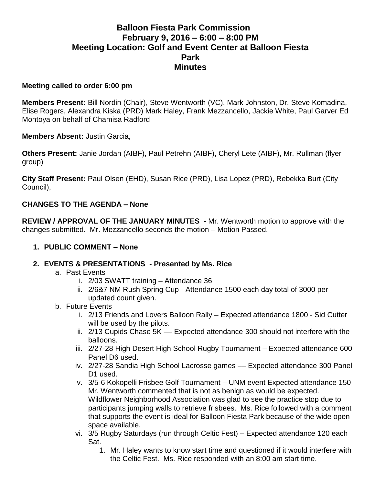# **Balloon Fiesta Park Commission February 9, 2016 – 6:00 – 8:00 PM Meeting Location: Golf and Event Center at Balloon Fiesta Park Minutes**

#### **Meeting called to order 6:00 pm**

**Members Present:** Bill Nordin (Chair), Steve Wentworth (VC), Mark Johnston, Dr. Steve Komadina, Elise Rogers, Alexandra Kiska (PRD) Mark Haley, Frank Mezzancello, Jackie White, Paul Garver Ed Montoya on behalf of Chamisa Radford

**Members Absent:** Justin Garcia,

**Others Present:** Janie Jordan (AIBF), Paul Petrehn (AIBF), Cheryl Lete (AIBF), Mr. Rullman (flyer group)

**City Staff Present:** Paul Olsen (EHD), Susan Rice (PRD), Lisa Lopez (PRD), Rebekka Burt (City Council),

#### **CHANGES TO THE AGENDA – None**

**REVIEW / APPROVAL OF THE JANUARY MINUTES** - Mr. Wentworth motion to approve with the changes submitted. Mr. Mezzancello seconds the motion – Motion Passed.

#### **1. PUBLIC COMMENT – None**

- **2. EVENTS & PRESENTATIONS - Presented by Ms. Rice** 
	- a. Past Events
		- i. 2/03 SWATT training Attendance 36
		- ii. 2/6&7 NM Rush Spring Cup Attendance 1500 each day total of 3000 per updated count given.
	- b. Future Events
		- i. 2/13 Friends and Lovers Balloon Rally Expected attendance 1800 Sid Cutter will be used by the pilots.
		- ii. 2/13 Cupids Chase 5K –– Expected attendance 300 should not interfere with the balloons.
		- iii. 2/27-28 High Desert High School Rugby Tournament Expected attendance 600 Panel D6 used.
		- iv. 2/27-28 Sandia High School Lacrosse games Expected attendance 300 Panel D<sub>1</sub> used.
		- v. 3/5-6 Kokopelli Frisbee Golf Tournament UNM event Expected attendance 150 Mr. Wentworth commented that is not as benign as would be expected. Wildflower Neighborhood Association was glad to see the practice stop due to participants jumping walls to retrieve frisbees. Ms. Rice followed with a comment that supports the event is ideal for Balloon Fiesta Park because of the wide open space available.
		- vi. 3/5 Rugby Saturdays (run through Celtic Fest) Expected attendance 120 each Sat.
			- 1. Mr. Haley wants to know start time and questioned if it would interfere with the Celtic Fest. Ms. Rice responded with an 8:00 am start time.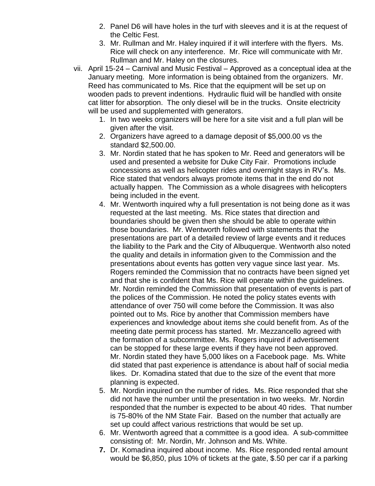- 2. Panel D6 will have holes in the turf with sleeves and it is at the request of the Celtic Fest.
- 3. Mr. Rullman and Mr. Haley inquired if it will interfere with the flyers. Ms. Rice will check on any interference. Mr. Rice will communicate with Mr. Rullman and Mr. Haley on the closures.
- vii. April 15-24 Carnival and Music Festival Approved as a conceptual idea at the January meeting. More information is being obtained from the organizers. Mr. Reed has communicated to Ms. Rice that the equipment will be set up on wooden pads to prevent indentions. Hydraulic fluid will be handled with onsite cat litter for absorption. The only diesel will be in the trucks. Onsite electricity will be used and supplemented with generators.
	- 1. In two weeks organizers will be here for a site visit and a full plan will be given after the visit.
	- 2. Organizers have agreed to a damage deposit of \$5,000.00 vs the standard \$2,500.00.
	- 3. Mr. Nordin stated that he has spoken to Mr. Reed and generators will be used and presented a website for Duke City Fair. Promotions include concessions as well as helicopter rides and overnight stays in RV's. Ms. Rice stated that vendors always promote items that in the end do not actually happen. The Commission as a whole disagrees with helicopters being included in the event.
	- 4. Mr. Wentworth inquired why a full presentation is not being done as it was requested at the last meeting. Ms. Rice states that direction and boundaries should be given then she should be able to operate within those boundaries. Mr. Wentworth followed with statements that the presentations are part of a detailed review of large events and it reduces the liability to the Park and the City of Albuquerque. Wentworth also noted the quality and details in information given to the Commission and the presentations about events has gotten very vague since last year. Ms. Rogers reminded the Commission that no contracts have been signed yet and that she is confident that Ms. Rice will operate within the guidelines. Mr. Nordin reminded the Commission that presentation of events is part of the polices of the Commission. He noted the policy states events with attendance of over 750 will come before the Commission. It was also pointed out to Ms. Rice by another that Commission members have experiences and knowledge about items she could benefit from. As of the meeting date permit process has started. Mr. Mezzancello agreed with the formation of a subcommittee. Ms. Rogers inquired if advertisement can be stopped for these large events if they have not been approved. Mr. Nordin stated they have 5,000 likes on a Facebook page. Ms. White did stated that past experience is attendance is about half of social media likes. Dr. Komadina stated that due to the size of the event that more planning is expected.
	- 5. Mr. Nordin inquired on the number of rides. Ms. Rice responded that she did not have the number until the presentation in two weeks. Mr. Nordin responded that the number is expected to be about 40 rides. That number is 75-80% of the NM State Fair. Based on the number that actually are set up could affect various restrictions that would be set up.
	- 6. Mr. Wentworth agreed that a committee is a good idea. A sub-committee consisting of: Mr. Nordin, Mr. Johnson and Ms. White.
	- **7.** Dr. Komadina inquired about income. Ms. Rice responded rental amount would be \$6,850, plus 10% of tickets at the gate, \$.50 per car if a parking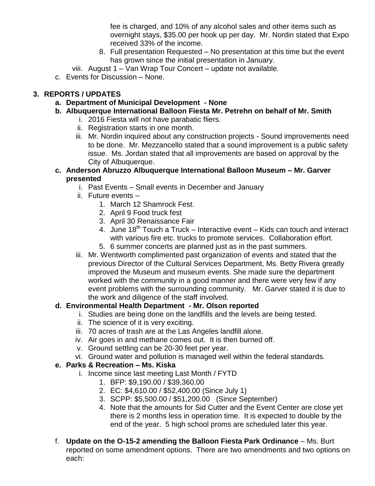fee is charged, and 10% of any alcohol sales and other items such as overnight stays, \$35.00 per hook up per day. Mr. Nordin stated that Expo received 33% of the income.

- 8. Full presentation Requested No presentation at this time but the event has grown since the initial presentation in January.
- viii. August 1 Van Wrap Tour Concert update not available.
- c. Events for Discussion None.

# **3. REPORTS / UPDATES**

- **a. Department of Municipal Development - None**
- **b. Albuquerque International Balloon Fiesta Mr. Petrehn on behalf of Mr. Smith**
	- i. 2016 Fiesta will not have parabatic fliers.
	- ii. Registration starts in one month.
	- iii. Mr. Nordin inquired about any construction projects Sound improvements need to be done. Mr. Mezzancello stated that a sound improvement is a public safety issue. Ms. Jordan stated that all improvements are based on approval by the City of Albuquerque.
- **c. Anderson Abruzzo Albuquerque International Balloon Museum – Mr. Garver presented**
	- i. Past Events Small events in December and January
	- ii. Future events
		- 1. March 12 Shamrock Fest.
		- 2. April 9 Food truck fest
		- 3. April 30 Renaissance Fair
		- 4. June  $18^{th}$  Touch a Truck Interactive event Kids can touch and interact with various fire etc. trucks to promote services. Collaboration effort.
		- 5. 6 summer concerts are planned just as in the past summers.
	- iii. Mr. Wentworth complimented past organization of events and stated that the previous Director of the Cultural Services Department, Ms. Betty Rivera greatly improved the Museum and museum events. She made sure the department worked with the community in a good manner and there were very few if any event problems with the surrounding community. Mr. Garver stated it is due to the work and diligence of the staff involved.

## **d. Environmental Health Department - Mr. Olson reported**

- i. Studies are being done on the landfills and the levels are being tested.
- ii. The science of it is very exciting.
- iii. 70 acres of trash are at the Las Angeles landfill alone.
- iv. Air goes in and methane comes out. It is then burned off.
- v. Ground settling can be 20-30 feet per year.
- vi. Ground water and pollution is managed well within the federal standards.

## **e. Parks & Recreation – Ms. Kiska**

- i. Income since last meeting Last Month / FYTD
	- 1. BFP: \$9,190.00 / \$39,360.00
	- 2. EC: \$4,610.00 / \$52,400.00 (Since July 1)
	- 3. SCPP: \$5,500.00 / \$51,200.00 (Since September)
	- 4. Note that the amounts for Sid Cutter and the Event Center are close yet there is 2 months less in operation time. It is expected to double by the end of the year. 5 high school proms are scheduled later this year.
- f. **Update on the O-15-2 amending the Balloon Fiesta Park Ordinance** Ms. Burt reported on some amendment options. There are two amendments and two options on each: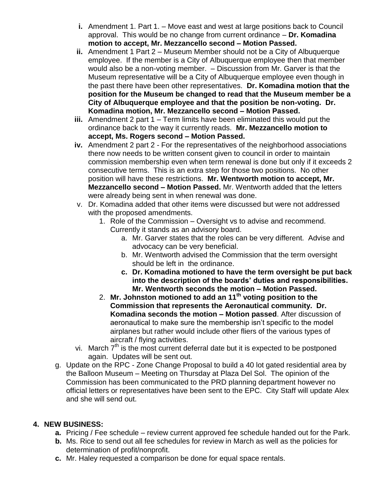- **i.** Amendment 1. Part 1. Move east and west at large positions back to Council approval. This would be no change from current ordinance – **Dr. Komadina motion to accept, Mr. Mezzancello second – Motion Passed.**
- **ii.** Amendment 1 Part 2 Museum Member should not be a City of Albuquerque employee. If the member is a City of Albuquerque employee then that member would also be a non-voting member. – Discussion from Mr. Garver is that the Museum representative will be a City of Albuquerque employee even though in the past there have been other representatives. **Dr. Komadina motion that the position for the Museum be changed to read that the Museum member be a City of Albuquerque employee and that the position be non-voting. Dr. Komadina motion, Mr. Mezzancello second – Motion Passed.**
- **iii.** Amendment 2 part 1 Term limits have been eliminated this would put the ordinance back to the way it currently reads. **Mr. Mezzancello motion to accept, Ms. Rogers second – Motion Passed.**
- **iv.** Amendment 2 part 2 For the representatives of the neighborhood associations there now needs to be written consent given to council in order to maintain commission membership even when term renewal is done but only if it exceeds 2 consecutive terms. This is an extra step for those two positions. No other position will have these restrictions. **Mr. Wentworth motion to accept, Mr. Mezzancello second – Motion Passed.** Mr. Wentworth added that the letters were already being sent in when renewal was done.
- v. Dr. Komadina added that other items were discussed but were not addressed with the proposed amendments.
	- 1. Role of the Commission Oversight vs to advise and recommend. Currently it stands as an advisory board.
		- a. Mr. Garver states that the roles can be very different. Advise and advocacy can be very beneficial.
		- b. Mr. Wentworth advised the Commission that the term oversight should be left in the ordinance.
		- **c. Dr. Komadina motioned to have the term oversight be put back into the description of the boards' duties and responsibilities. Mr. Wentworth seconds the motion – Motion Passed.**
	- 2. **Mr. Johnston motioned to add an 11th voting position to the Commission that represents the Aeronautical community. Dr. Komadina seconds the motion – Motion passed**. After discussion of aeronautical to make sure the membership isn't specific to the model airplanes but rather would include other fliers of the various types of aircraft / flying activities.
- vi. March  $7<sup>th</sup>$  is the most current deferral date but it is expected to be postponed again. Updates will be sent out.
- g. Update on the RPC Zone Change Proposal to build a 40 lot gated residential area by the Balloon Museum – Meeting on Thursday at Plaza Del Sol. The opinion of the Commission has been communicated to the PRD planning department however no official letters or representatives have been sent to the EPC. City Staff will update Alex and she will send out.

# **4. NEW BUSINESS:**

- **a.** Pricing / Fee schedule review current approved fee schedule handed out for the Park.
- **b.** Ms. Rice to send out all fee schedules for review in March as well as the policies for determination of profit/nonprofit.
- **c.** Mr. Haley requested a comparison be done for equal space rentals.